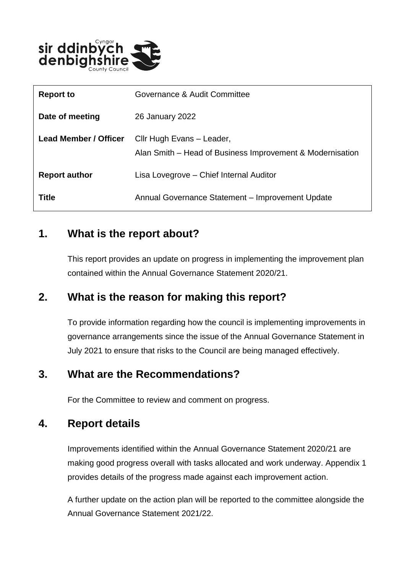

| <b>Report to</b>             | Governance & Audit Committee                                                           |
|------------------------------|----------------------------------------------------------------------------------------|
| Date of meeting              | 26 January 2022                                                                        |
| <b>Lead Member / Officer</b> | Cllr Hugh Evans - Leader,<br>Alan Smith – Head of Business Improvement & Modernisation |
| <b>Report author</b>         | Lisa Lovegrove – Chief Internal Auditor                                                |
| Title                        | Annual Governance Statement - Improvement Update                                       |

### **1. What is the report about?**

This report provides an update on progress in implementing the improvement plan contained within the Annual Governance Statement 2020/21.

#### **2. What is the reason for making this report?**

To provide information regarding how the council is implementing improvements in governance arrangements since the issue of the Annual Governance Statement in July 2021 to ensure that risks to the Council are being managed effectively.

#### **3. What are the Recommendations?**

For the Committee to review and comment on progress.

#### **4. Report details**

Improvements identified within the Annual Governance Statement 2020/21 are making good progress overall with tasks allocated and work underway. Appendix 1 provides details of the progress made against each improvement action.

A further update on the action plan will be reported to the committee alongside the Annual Governance Statement 2021/22.